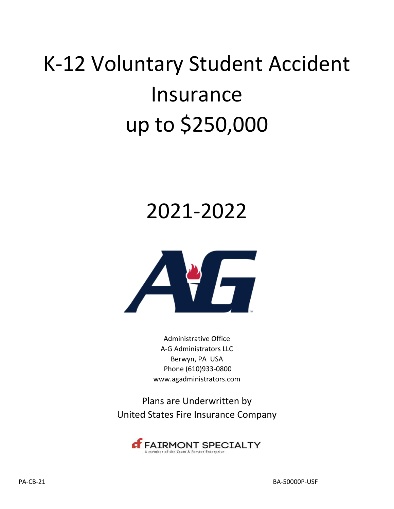# K‐12 Voluntary Student Accident Insurance up to \$250,000

## 2021-2022



Administrative Office A‐G Administrators LLC Berwyn, PA USA Phone (610)933‐0800 www.agadministrators.com

Plans are Underwritten by United States Fire Insurance Company

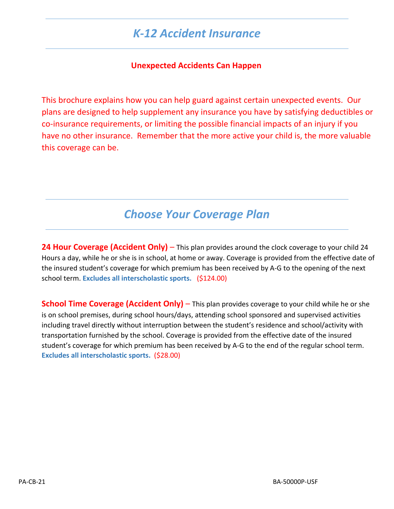## *K‐12 Accident Insurance*

#### **Unexpected Accidents Can Happen**

This brochure explains how you can help guard against certain unexpected events. Our plans are designed to help supplement any insurance you have by satisfying deductibles or co‐insurance requirements, or limiting the possible financial impacts of an injury if you have no other insurance. Remember that the more active your child is, the more valuable this coverage can be.

## *Choose Your Coverage Plan*

**24 Hour Coverage (Accident Only)** – This plan provides around the clock coverage to your child 24 Hours a day, while he or she is in school, at home or away. Coverage is provided from the effective date of the insured student's coverage for which premium has been received by A‐G to the opening of the next school term. **Excludes all interscholastic sports.** (\$124.00)

**School Time Coverage (Accident Only)** – This plan provides coverage to your child while he or she is on school premises, during school hours/days, attending school sponsored and supervised activities including travel directly without interruption between the student's residence and school/activity with transportation furnished by the school. Coverage is provided from the effective date of the insured student's coverage for which premium has been received by A‐G to the end of the regular school term. **Excludes all interscholastic sports.** (\$28.00)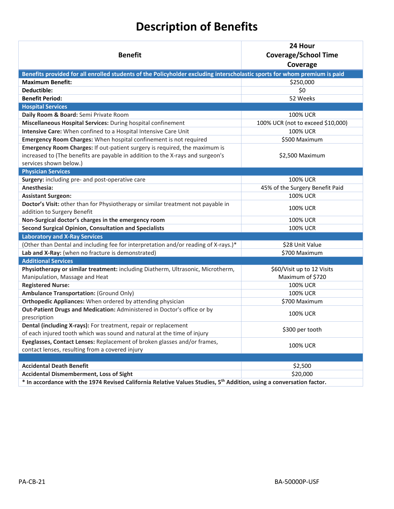## **Description of Benefits**

| Coverage                                                                                                                                                      |  |
|---------------------------------------------------------------------------------------------------------------------------------------------------------------|--|
| Benefits provided for all enrolled students of the Policyholder excluding interscholastic sports for whom premium is paid                                     |  |
| <b>Maximum Benefit:</b><br>\$250,000                                                                                                                          |  |
| \$0<br>Deductible:                                                                                                                                            |  |
| <b>Benefit Period:</b><br>52 Weeks                                                                                                                            |  |
| <b>Hospital Services</b>                                                                                                                                      |  |
| Daily Room & Board: Semi Private Room<br><b>100% UCR</b>                                                                                                      |  |
| Miscellaneous Hospital Services: During hospital confinement<br>100% UCR (not to exceed \$10,000)                                                             |  |
| Intensive Care: When confined to a Hospital Intensive Care Unit<br>100% UCR                                                                                   |  |
| Emergency Room Charges: When hospital confinement is not required<br>\$500 Maximum                                                                            |  |
| Emergency Room Charges: If out-patient surgery is required, the maximum is                                                                                    |  |
| increased to (The benefits are payable in addition to the X-rays and surgeon's<br>\$2,500 Maximum                                                             |  |
| services shown below.)                                                                                                                                        |  |
| <b>Physician Services</b>                                                                                                                                     |  |
| Surgery: including pre- and post-operative care<br>100% UCR                                                                                                   |  |
| Anesthesia:<br>45% of the Surgery Benefit Paid                                                                                                                |  |
| <b>100% UCR</b><br><b>Assistant Surgeon:</b>                                                                                                                  |  |
| Doctor's Visit: other than for Physiotherapy or similar treatment not payable in                                                                              |  |
| 100% UCR<br>addition to Surgery Benefit                                                                                                                       |  |
| Non-Surgical doctor's charges in the emergency room<br><b>100% UCR</b>                                                                                        |  |
| <b>Second Surgical Opinion, Consultation and Specialists</b><br>100% UCR                                                                                      |  |
| <b>Laboratory and X-Ray Services</b>                                                                                                                          |  |
| (Other than Dental and including fee for interpretation and/or reading of X-rays.)*<br>\$28 Unit Value                                                        |  |
| \$700 Maximum<br>Lab and X-Ray: (when no fracture is demonstrated)                                                                                            |  |
| <b>Additional Services</b>                                                                                                                                    |  |
| Physiotherapy or similar treatment: including Diatherm, Ultrasonic, Microtherm,<br>\$60/Visit up to 12 Visits                                                 |  |
| Maximum of \$720<br>Manipulation, Massage and Heat                                                                                                            |  |
| <b>Registered Nurse:</b><br>100% UCR                                                                                                                          |  |
| <b>Ambulance Transportation: (Ground Only)</b><br>100% UCR                                                                                                    |  |
| Orthopedic Appliances: When ordered by attending physician<br>\$700 Maximum                                                                                   |  |
| Out-Patient Drugs and Medication: Administered in Doctor's office or by<br><b>100% UCR</b><br>prescription                                                    |  |
| Dental (including X-rays): For treatment, repair or replacement<br>\$300 per tooth<br>of each injured tooth which was sound and natural at the time of injury |  |
| Eyeglasses, Contact Lenses: Replacement of broken glasses and/or frames,<br><b>100% UCR</b><br>contact lenses, resulting from a covered injury                |  |
|                                                                                                                                                               |  |
| <b>Accidental Death Benefit</b><br>\$2,500                                                                                                                    |  |
| \$20,000<br><b>Accidental Dismemberment, Loss of Sight</b>                                                                                                    |  |
| * In accordance with the 1974 Revised California Relative Values Studies, 5 <sup>th</sup> Addition, using a conversation factor.                              |  |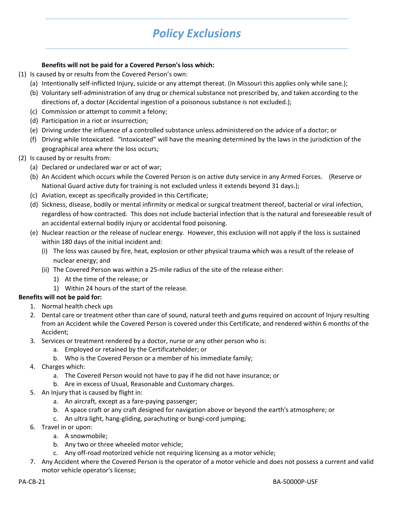## *Policy Exclusions*

#### **Benefits will not be paid for a Covered Person's loss which:**

- (1) Is caused by or results from the Covered Person's own:
	- (a) Intentionally self‐inflicted Injury, suicide or any attempt thereat. (In Missouri this applies only while sane.);
	- (b) Voluntary self‐administration of any drug or chemical substance not prescribed by, and taken according to the directions of, a doctor (Accidental ingestion of a poisonous substance is not excluded.);
	- (c) Commission or attempt to commit a felony;
	- (d) Participation in a riot or insurrection;
	- (e) Driving under the influence of a controlled substance unless administered on the advice of a doctor; or
	- (f) Driving while Intoxicated. "Intoxicated" will have the meaning determined by the laws in the jurisdiction of the geographical area where the loss occurs;
- (2) Is caused by or results from:
	- (a) Declared or undeclared war or act of war;
	- (b) An Accident which occurs while the Covered Person is on active duty service in any Armed Forces. (Reserve or National Guard active duty for training is not excluded unless it extends beyond 31 days.);
	- (c) Aviation, except as specifically provided in this Certificate;
	- (d) Sickness, disease, bodily or mental infirmity or medical or surgical treatment thereof, bacterial or viral infection, regardless of how contracted. This does not include bacterial infection that is the natural and foreseeable result of an accidental external bodily injury or accidental food poisoning.
	- (e) Nuclear reaction or the release of nuclear energy. However, this exclusion will not apply if the loss is sustained within 180 days of the initial incident and:
		- (i) The loss was caused by fire, heat, explosion or other physical trauma which was a result of the release of nuclear energy; and
		- (ii) The Covered Person was within a 25‐mile radius of the site of the release either:
			- 1) At the time of the release; or
			- 1) Within 24 hours of the start of the release.

#### **Benefits will not be paid for:**

- 1. Normal health check ups
- 2. Dental care or treatment other than care of sound, natural teeth and gums required on account of Injury resulting from an Accident while the Covered Person is covered under this Certificate, and rendered within 6 months of the Accident;
- 3. Services or treatment rendered by a doctor, nurse or any other person who is:
	- a. Employed or retained by the Certificateholder; or
	- b. Who is the Covered Person or a member of his immediate family;
- 4. Charges which:
	- a. The Covered Person would not have to pay if he did not have insurance; or
	- b. Are in excess of Usual, Reasonable and Customary charges.
- 5. An Injury that is caused by flight in:
	- a. An aircraft, except as a fare‐paying passenger;
	- b. A space craft or any craft designed for navigation above or beyond the earth's atmosphere; or
	- c. An ultra light, hang‐gliding, parachuting or bungi‐cord jumping;
- 6. Travel in or upon:
	- a. A snowmobile;
	- b. Any two or three wheeled motor vehicle;
	- c. Any off‐road motorized vehicle not requiring licensing as a motor vehicle;
- 7. Any Accident where the Covered Person is the operator of a motor vehicle and does not possess a current and valid motor vehicle operator's license;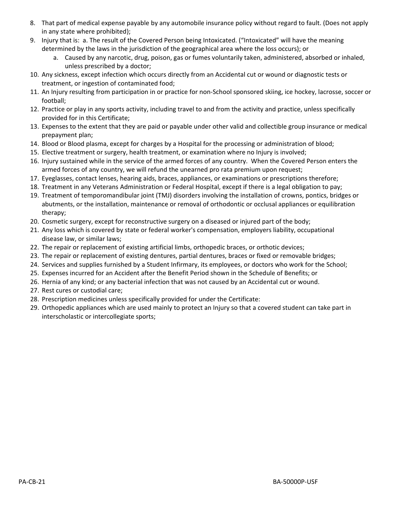- 8. That part of medical expense payable by any automobile insurance policy without regard to fault. (Does not apply in any state where prohibited);
- 9. Injury that is: a. The result of the Covered Person being Intoxicated. ("Intoxicated" will have the meaning determined by the laws in the jurisdiction of the geographical area where the loss occurs); or
	- a. Caused by any narcotic, drug, poison, gas or fumes voluntarily taken, administered, absorbed or inhaled, unless prescribed by a doctor;
- 10. Any sickness, except infection which occurs directly from an Accidental cut or wound or diagnostic tests or treatment, or ingestion of contaminated food;
- 11. An Injury resulting from participation in or practice for non‐School sponsored skiing, ice hockey, lacrosse, soccer or football;
- 12. Practice or play in any sports activity, including travel to and from the activity and practice, unless specifically provided for in this Certificate;
- 13. Expenses to the extent that they are paid or payable under other valid and collectible group insurance or medical prepayment plan;
- 14. Blood or Blood plasma, except for charges by a Hospital for the processing or administration of blood;
- 15. Elective treatment or surgery, health treatment, or examination where no Injury is involved;
- 16. Injury sustained while in the service of the armed forces of any country. When the Covered Person enters the armed forces of any country, we will refund the unearned pro rata premium upon request;
- 17. Eyeglasses, contact lenses, hearing aids, braces, appliances, or examinations or prescriptions therefore;
- 18. Treatment in any Veterans Administration or Federal Hospital, except if there is a legal obligation to pay;
- 19. Treatment of temporomandibular joint (TMJ) disorders involving the installation of crowns, pontics, bridges or abutments, or the installation, maintenance or removal of orthodontic or occlusal appliances or equilibration therapy;
- 20. Cosmetic surgery, except for reconstructive surgery on a diseased or injured part of the body;
- 21. Any loss which is covered by state or federal worker's compensation, employers liability, occupational disease law, or similar laws;
- 22. The repair or replacement of existing artificial limbs, orthopedic braces, or orthotic devices;
- 23. The repair or replacement of existing dentures, partial dentures, braces or fixed or removable bridges;
- 24. Services and supplies furnished by a Student Infirmary, its employees, or doctors who work for the School;
- 25. Expenses incurred for an Accident after the Benefit Period shown in the Schedule of Benefits; or
- 26. Hernia of any kind; or any bacterial infection that was not caused by an Accidental cut or wound.
- 27. Rest cures or custodial care;
- 28. Prescription medicines unless specifically provided for under the Certificate:
- 29. Orthopedic appliances which are used mainly to protect an Injury so that a covered student can take part in interscholastic or intercollegiate sports;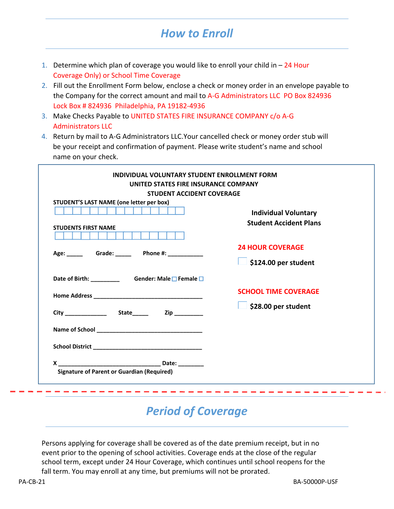## *How to Enroll*

- 1. Determine which plan of coverage you would like to enroll your child in  $-24$  Hour Coverage Only) or School Time Coverage
- 2. Fill out the Enrollment Form below, enclose a check or money order in an envelope payable to the Company for the correct amount and mail to A-G Administrators LLC PO Box 824936 Lock Box # 824936 Philadelphia, PA 19182-4936
- 3. Make Checks Payable to UNITED STATES FIRE INSURANCE COMPANY c/o A‐G Administrators LLC
- 4. Return by mail to A‐G Administrators LLC.Your cancelled check or money order stub will be your receipt and confirmation of payment. Please write student's name and school name on your check.

| <b>STUDENT ACCIDENT COVERAGE</b>                 |                               |
|--------------------------------------------------|-------------------------------|
| STUDENT'S LAST NAME (one letter per box)         |                               |
|                                                  | <b>Individual Voluntary</b>   |
| <b>STUDENTS FIRST NAME</b>                       | <b>Student Accident Plans</b> |
|                                                  |                               |
|                                                  | <b>24 HOUR COVERAGE</b>       |
|                                                  | \$124.00 per student          |
| Date of Birth: _________ Gender: Male □ Female □ |                               |
|                                                  | <b>SCHOOL TIME COVERAGE</b>   |
|                                                  | \$28.00 per student           |
|                                                  |                               |
|                                                  |                               |
|                                                  |                               |

## *Period of Coverage*

Persons applying for coverage shall be covered as of the date premium receipt, but in no event prior to the opening of school activities. Coverage ends at the close of the regular school term, except under 24 Hour Coverage, which continues until school reopens for the fall term. You may enroll at any time, but premiums will not be prorated.